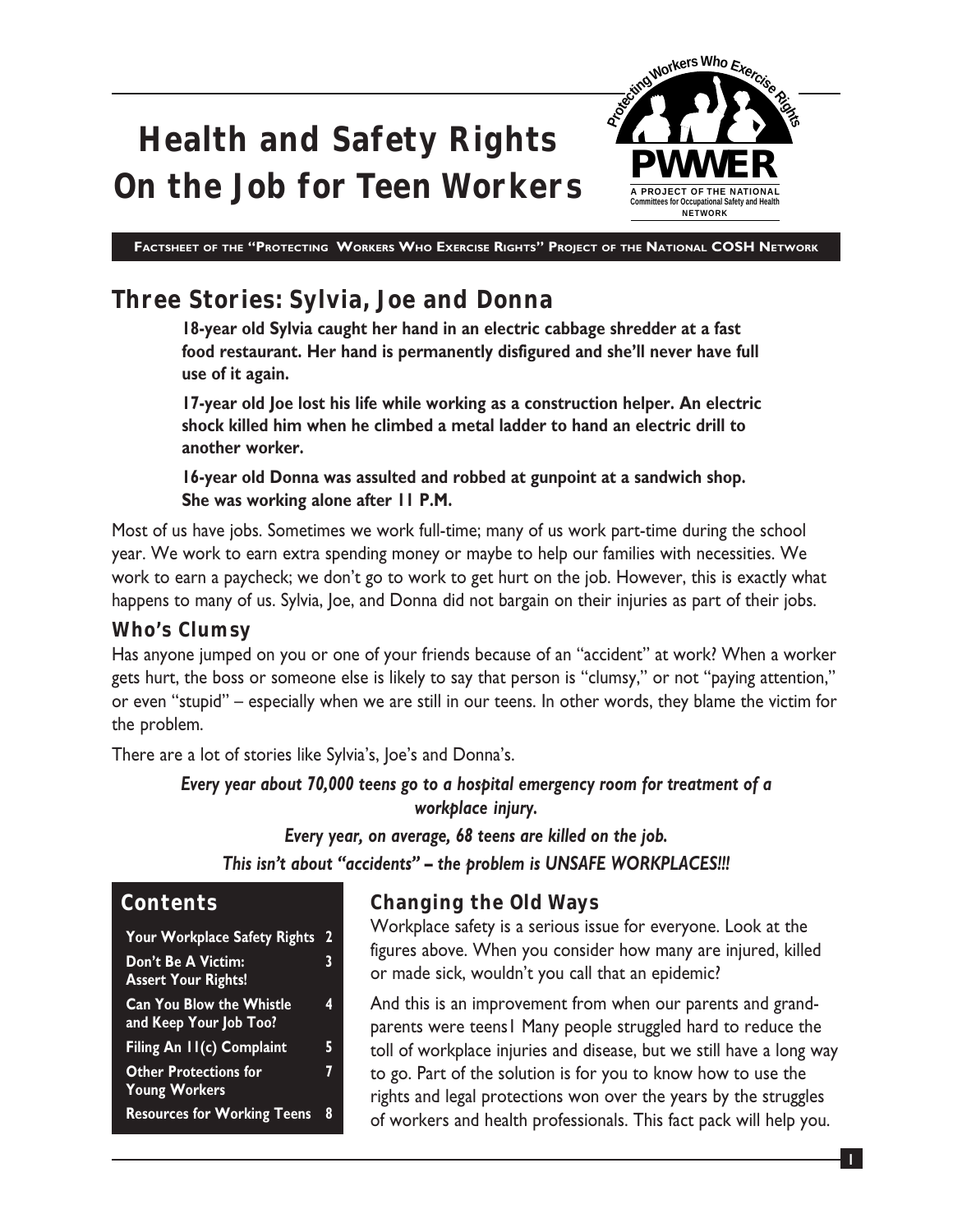

## **Three Stories: Sylvia, Joe and Donna**

**18-year old Sylvia caught her hand in an electric cabbage shredder at a fast food restaurant. Her hand is permanently disfigured and she'll never have full use of it again.**

**17-year old Joe lost his life while working as a construction helper. An electric shock killed him when he climbed a metal ladder to hand an electric drill to another worker.**

**16-year old Donna was assulted and robbed at gunpoint at a sandwich shop. She was working alone after 11 P.M.**

Most of us have jobs. Sometimes we work full-time; many of us work part-time during the school year. We work to earn extra spending money or maybe to help our families with necessities. We work to earn a paycheck; we don't go to work to get hurt on the job. However, this is exactly what happens to many of us. Sylvia, Joe, and Donna did not bargain on their injuries as part of their jobs.

#### **Who's Clumsy**

Has anyone jumped on you or one of your friends because of an "accident" at work? When a worker gets hurt, the boss or someone else is likely to say that person is "clumsy," or not "paying attention," or even "stupid" – especially when we are still in our teens. In other words, they blame the victim for the problem.

There are a lot of stories like Sylvia's, Joe's and Donna's.

*Every year about 70,000 teens go to a hospital emergency room for treatment of a workplace injury.*

*Every year, on average, 68 teens are killed on the job. This isn't about "accidents" – the problem is UNSAFE WORKPLACES!!!*

#### **Contents**

**Your Workplace Safety Rights 2 Don't Be A Victim: 3 Assert Your Rights! Can You Blow the Whistle 4 and Keep Your Job Too?** Filing An 11(c) Complaint 5 **Other Protections for 7 Young Workers Resources for Working Teens 8**

## **Changing the Old Ways**

Workplace safety is a serious issue for everyone. Look at the figures above. When you consider how many are injured, killed or made sick, wouldn't you call that an epidemic?

And this is an improvement from when our parents and grandparents were teens1 Many people struggled hard to reduce the toll of workplace injuries and disease, but we still have a long way to go. Part of the solution is for you to know how to use the rights and legal protections won over the years by the struggles of workers and health professionals. This fact pack will help you.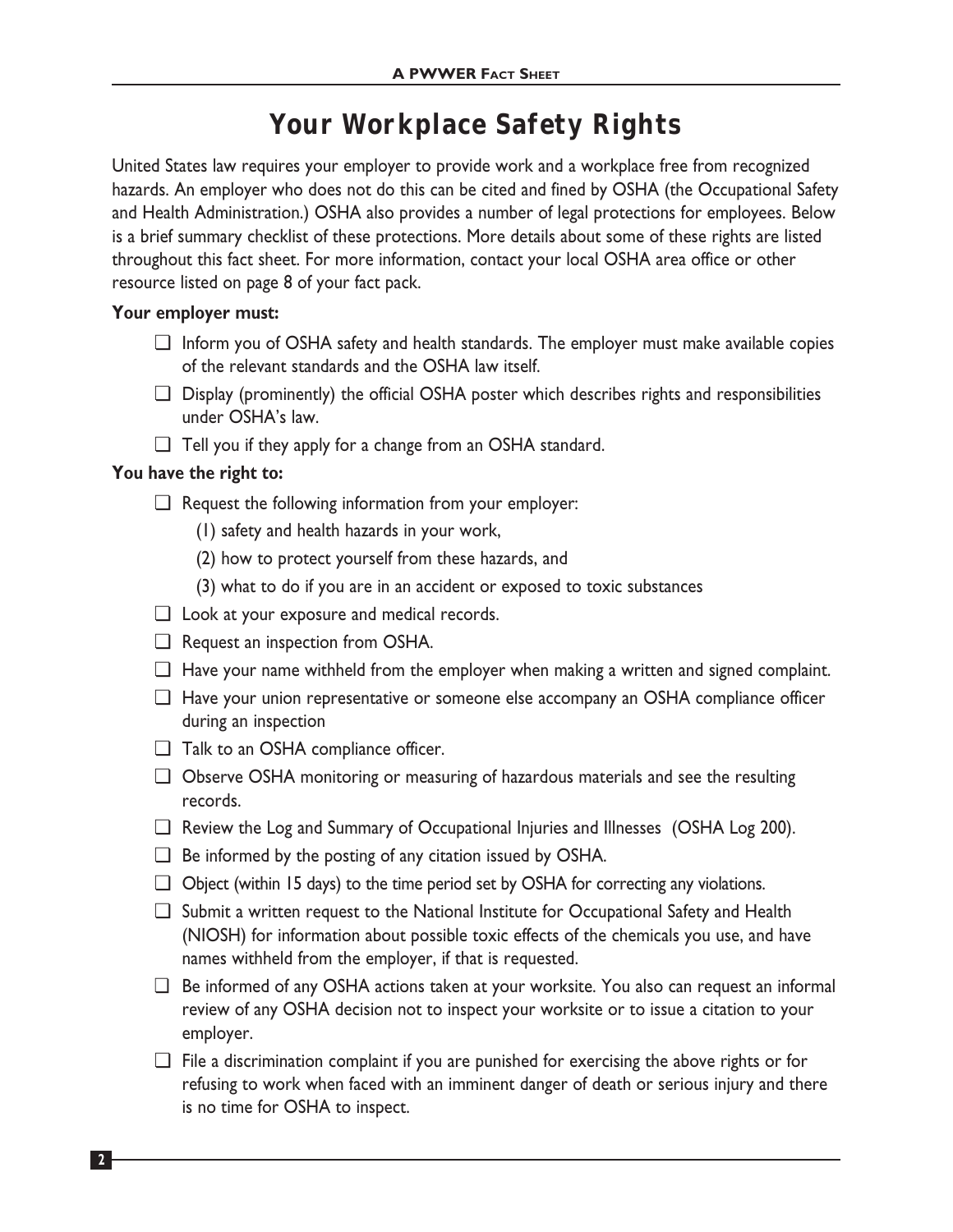## **Your Workplace Safety Rights**

United States law requires your employer to provide work and a workplace free from recognized hazards. An employer who does not do this can be cited and fined by OSHA (the Occupational Safety and Health Administration.) OSHA also provides a number of legal protections for employees. Below is a brief summary checklist of these protections. More details about some of these rights are listed throughout this fact sheet. For more information, contact your local OSHA area office or other resource listed on page 8 of your fact pack.

#### **Your employer must:**

- ❏ Inform you of OSHA safety and health standards. The employer must make available copies of the relevant standards and the OSHA law itself.
- ❏ Display (prominently) the official OSHA poster which describes rights and responsibilities under OSHA's law.
- ❏ Tell you if they apply for a change from an OSHA standard.

#### **You have the right to:**

- ❏ Request the following information from your employer:
	- (1) safety and health hazards in your work,
	- (2) how to protect yourself from these hazards, and
	- (3) what to do if you are in an accident or exposed to toxic substances
- ❏ Look at your exposure and medical records.
- ❏ Request an inspection from OSHA.
- ❏ Have your name withheld from the employer when making a written and signed complaint.
- ❏ Have your union representative or someone else accompany an OSHA compliance officer during an inspection
- ❏ Talk to an OSHA compliance officer.
- ❏ Observe OSHA monitoring or measuring of hazardous materials and see the resulting records.
- ❏ Review the Log and Summary of Occupational Injuries and Illnesses (OSHA Log 200).
- ❏ Be informed by the posting of any citation issued by OSHA.
- ❏ Object (within 15 days) to the time period set by OSHA for correcting any violations.
- ❏ Submit a written request to the National Institute for Occupational Safety and Health (NIOSH) for information about possible toxic effects of the chemicals you use, and have names withheld from the employer, if that is requested.
- ❏ Be informed of any OSHA actions taken at your worksite. You also can request an informal review of any OSHA decision not to inspect your worksite or to issue a citation to your employer.
- ❏ File a discrimination complaint if you are punished for exercising the above rights or for refusing to work when faced with an imminent danger of death or serious injury and there is no time for OSHA to inspect.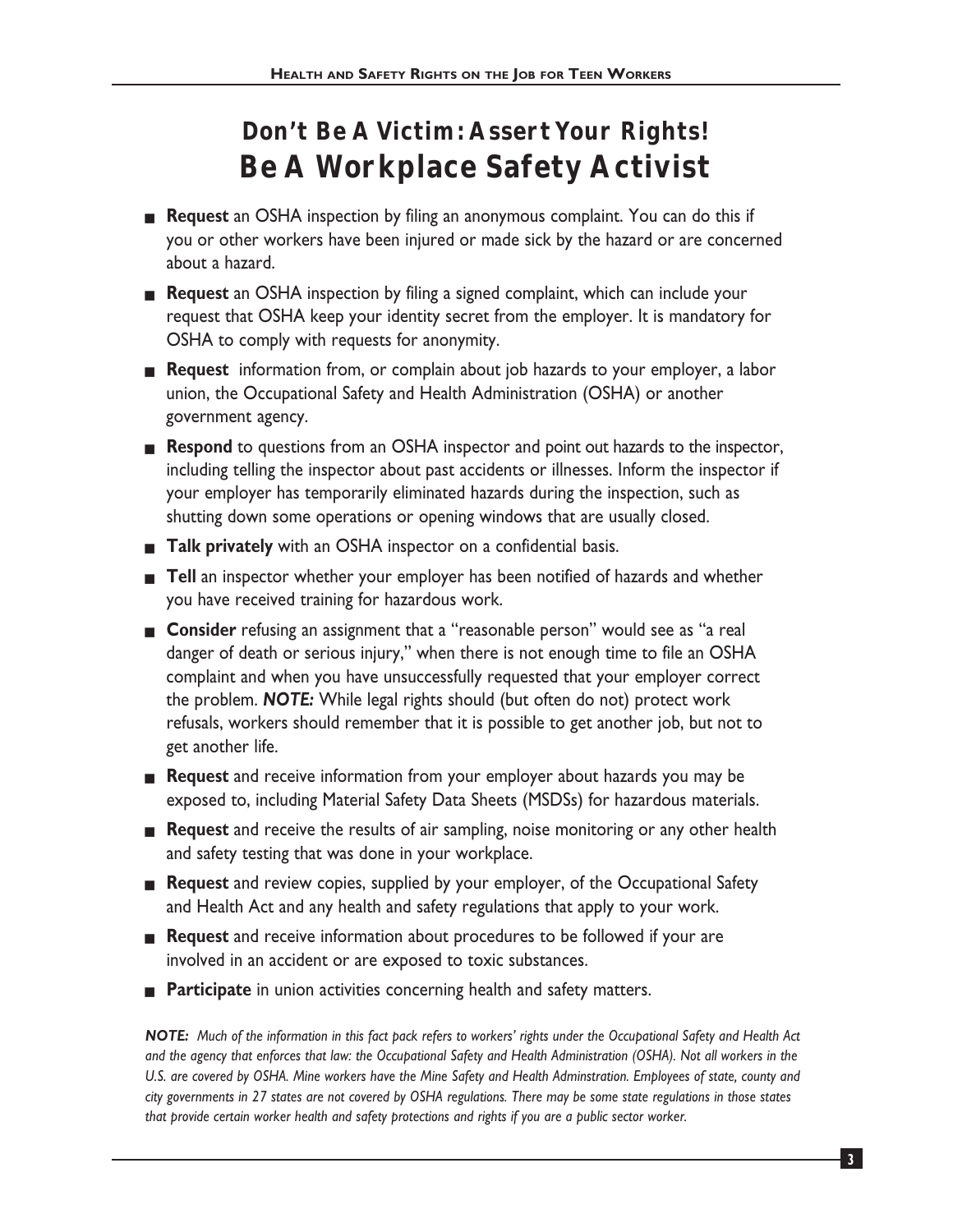# **Don't Be A Victim: Assert Your Rights! Be A Workplace Safety Activist**

- **Request** an OSHA inspection by filing an anonymous complaint. You can do this if you or other workers have been injured or made sick by the hazard or are concerned about a hazard.
- **Request** an OSHA inspection by filing a signed complaint, which can include your request that OSHA keep your identity secret from the employer. It is mandatory for OSHA to comply with requests for anonymity.
- **Request** information from, or complain about job hazards to your employer, a labor union, the Occupational Safety and Health Administration (OSHA) or another government agency.
- **Respond** to questions from an OSHA inspector and point out hazards to the inspector, including telling the inspector about past accidents or illnesses. Inform the inspector if your employer has temporarily eliminated hazards during the inspection, such as shutting down some operations or opening windows that are usually closed.
- **Talk privately** with an OSHA inspector on a confidential basis.
- **Tell** an inspector whether your employer has been notified of hazards and whether you have received training for hazardous work.
- **Consider** refusing an assignment that a "reasonable person" would see as "a real danger of death or serious injury," when there is not enough time to file an OSHA complaint and when you have unsuccessfully requested that your employer correct the problem. *NOTE:* While legal rights should (but often do not) protect work refusals, workers should remember that it is possible to get another job, but not to get another life.
- **Request** and receive information from your employer about hazards you may be exposed to, including Material Safety Data Sheets (MSDSs) for hazardous materials.
- **Request** and receive the results of air sampling, noise monitoring or any other health and safety testing that was done in your workplace.
- **Request** and review copies, supplied by your employer, of the Occupational Safety and Health Act and any health and safety regulations that apply to your work.
- **Request** and receive information about procedures to be followed if your are involved in an accident or are exposed to toxic substances.
- **Participate** in union activities concerning health and safety matters.

*NOTE: Much of the information in this fact pack refers to workers' rights under the Occupational Safety and Health Act and the agency that enforces that law: the Occupational Safety and Health Administration (OSHA). Not all workers in the U.S. are covered by OSHA. Mine workers have the Mine Safety and Health Adminstration. Employees of state, county and city governments in 27 states are not covered by OSHA regulations. There may be some state regulations in those states that provide certain worker health and safety protections and rights if you are a public sector worker.*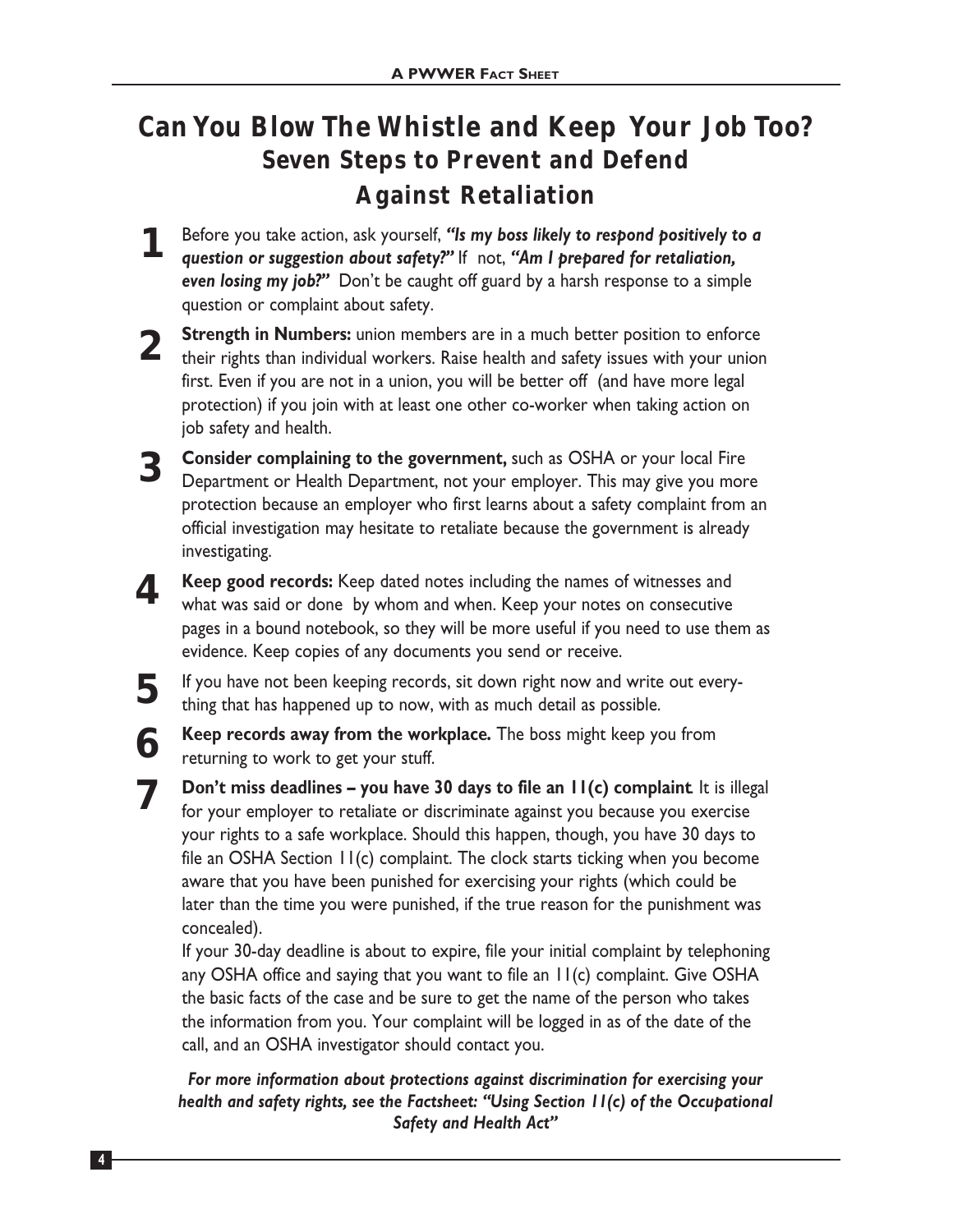# **Can You Blow The Whistle and Keep Your Job Too? Seven Steps to Prevent and Defend Against Retaliation**

Before you take action, ask yourself, *"Is my boss likely to respond positively to a question or suggestion about safety?"* If not, *"Am I prepared for retaliation, even losing my job?"* Don't be caught off guard by a harsh response to a simple question or complaint about safety. **1**

**Strength in Numbers:** union members are in a much better position to enforce **2** Strength in Numbers: union members are in a much better position to enforce their rights than individual workers. Raise health and safety issues with your union first. Even if you are not in a union, you will be better off (and have more legal protection) if you join with at least one other co-worker when taking action on job safety and health.

**Consider complaining to the government,** such as OSHA or your local Fire Department or Health Department, not your employer. This may give you more protection because an employer who first learns about a safety complaint from an official investigation may hesitate to retaliate because the government is already investigating.

**4**

**5**

**3**

**7**

**6**

**Keep good records:** Keep dated notes including the names of witnesses and what was said or done by whom and when. Keep your notes on consecutive pages in a bound notebook, so they will be more useful if you need to use them as evidence. Keep copies of any documents you send or receive.

If you have not been keeping records, sit down right now and write out everything that has happened up to now, with as much detail as possible.

**Keep records away from the workplace.** The boss might keep you from returning to work to get your stuff.

**Don't miss deadlines – you have 30 days to file an 11(c) complaint**. It is illegal for your employer to retaliate or discriminate against you because you exercise your rights to a safe workplace. Should this happen, though, you have 30 days to file an OSHA Section 11(c) complaint. The clock starts ticking when you become aware that you have been punished for exercising your rights (which could be later than the time you were punished, if the true reason for the punishment was concealed).

If your 30-day deadline is about to expire, file your initial complaint by telephoning any OSHA office and saying that you want to file an 11(c) complaint. Give OSHA the basic facts of the case and be sure to get the name of the person who takes the information from you. Your complaint will be logged in as of the date of the call, and an OSHA investigator should contact you.

*For more information about protections against discrimination for exercising your health and safety rights, see the Factsheet: "Using Section 11(c) of the Occupational Safety and Health Act"*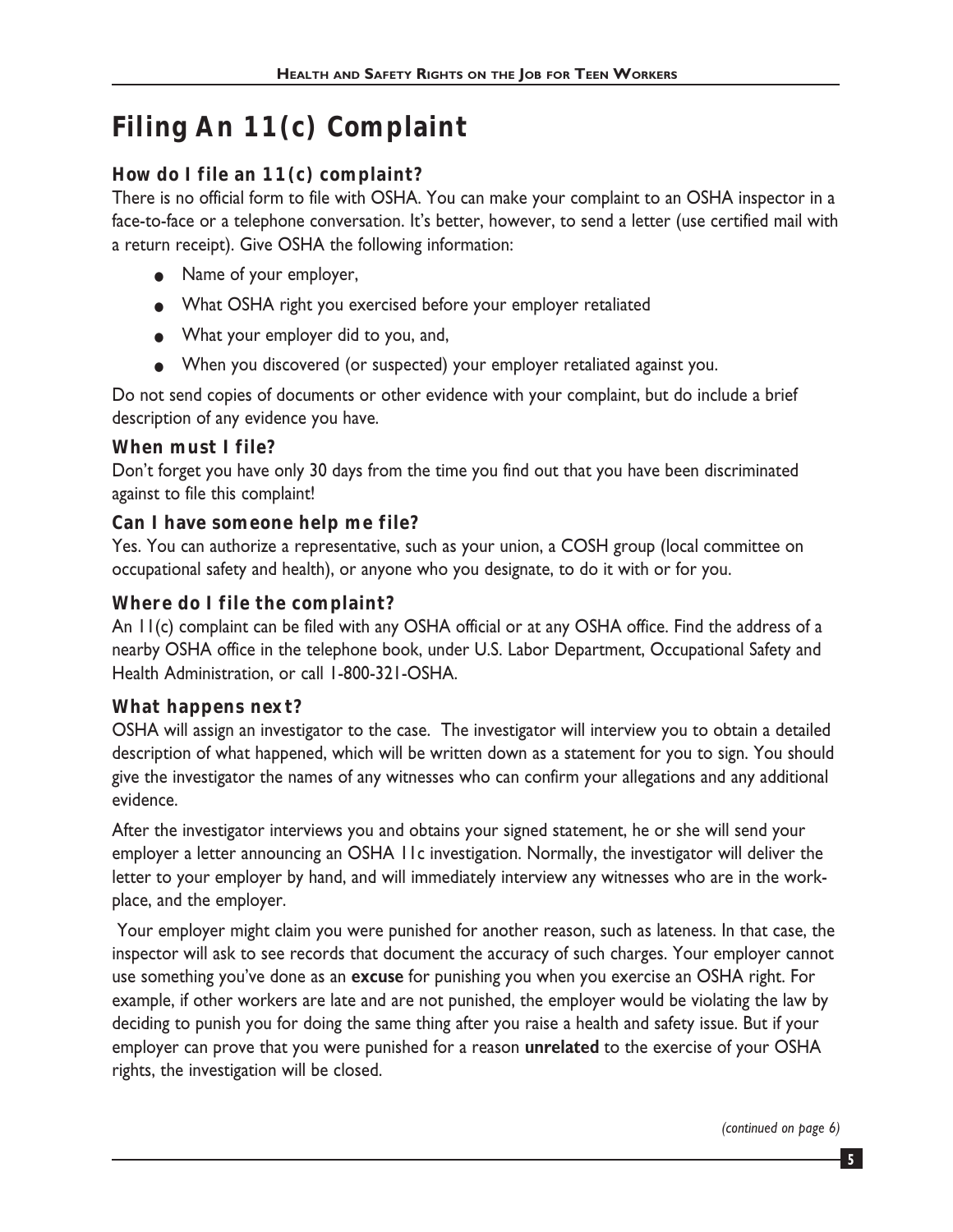# **Filing An 11(c) Complaint**

#### **How do I file an 11(c) complaint?**

There is no official form to file with OSHA. You can make your complaint to an OSHA inspector in a face-to-face or a telephone conversation. It's better, however, to send a letter (use certified mail with a return receipt). Give OSHA the following information:

- Name of your employer,
- What OSHA right you exercised before your employer retaliated
- What your employer did to you, and,
- When you discovered (or suspected) your employer retaliated against you.

Do not send copies of documents or other evidence with your complaint, but do include a brief description of any evidence you have.

#### **When must I file?**

Don't forget you have only 30 days from the time you find out that you have been discriminated against to file this complaint!

#### **Can I have someone help me file?**

Yes. You can authorize a representative, such as your union, a COSH group (local committee on occupational safety and health), or anyone who you designate, to do it with or for you.

#### **Where do I file the complaint?**

An 11(c) complaint can be filed with any OSHA official or at any OSHA office. Find the address of a nearby OSHA office in the telephone book, under U.S. Labor Department, Occupational Safety and Health Administration, or call 1-800-321-OSHA.

#### **What happens next?**

OSHA will assign an investigator to the case. The investigator will interview you to obtain a detailed description of what happened, which will be written down as a statement for you to sign. You should give the investigator the names of any witnesses who can confirm your allegations and any additional evidence.

After the investigator interviews you and obtains your signed statement, he or she will send your employer a letter announcing an OSHA 11c investigation. Normally, the investigator will deliver the letter to your employer by hand, and will immediately interview any witnesses who are in the workplace, and the employer.

Your employer might claim you were punished for another reason, such as lateness. In that case, the inspector will ask to see records that document the accuracy of such charges. Your employer cannot use something you've done as an **excuse** for punishing you when you exercise an OSHA right. For example, if other workers are late and are not punished, the employer would be violating the law by deciding to punish you for doing the same thing after you raise a health and safety issue. But if your employer can prove that you were punished for a reason **unrelated** to the exercise of your OSHA rights, the investigation will be closed.

*(continued on page 6)*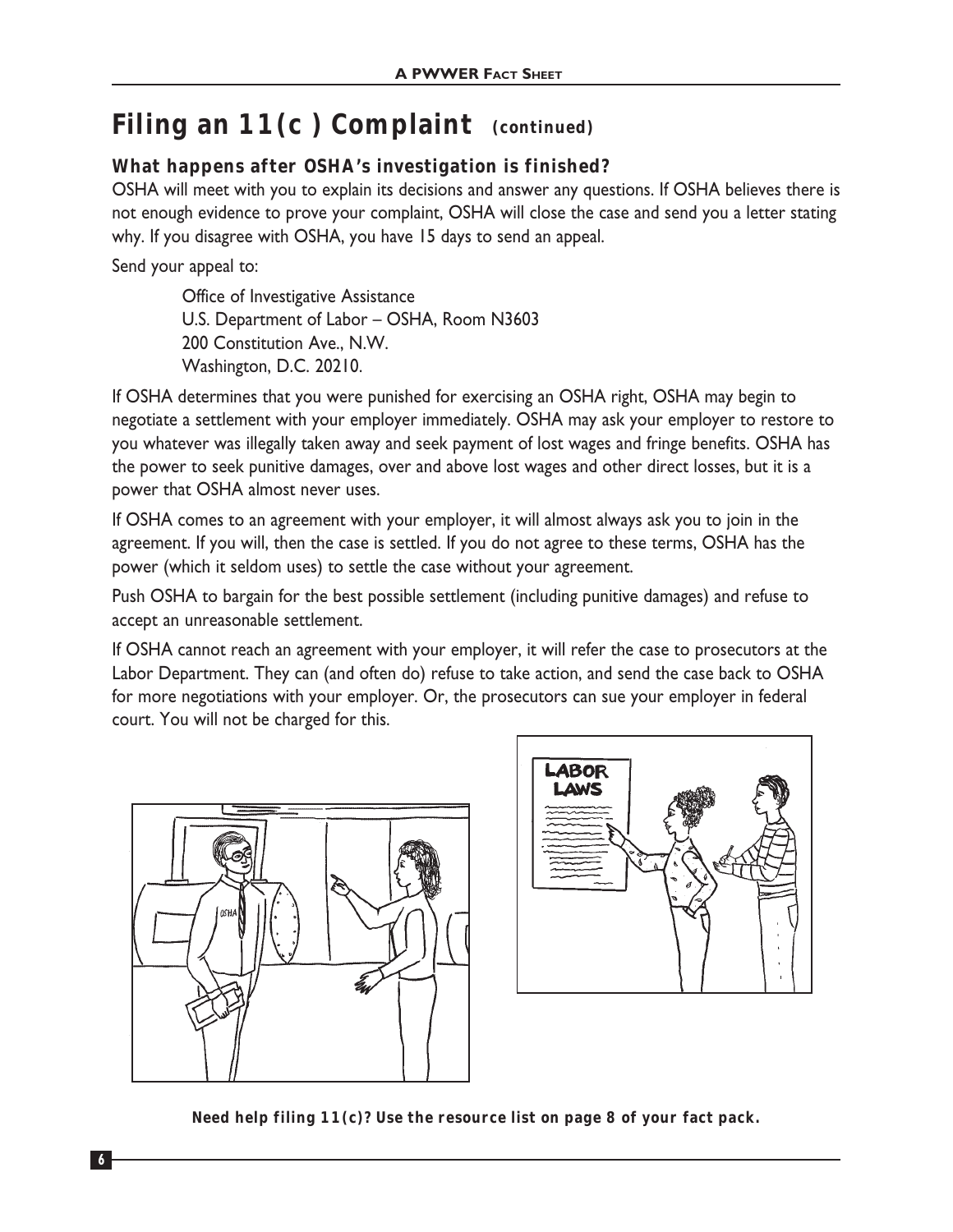## **Filing an 11(c ) Complaint (continued)**

#### **What happens after OSHA's investigation is finished?**

OSHA will meet with you to explain its decisions and answer any questions. If OSHA believes there is not enough evidence to prove your complaint, OSHA will close the case and send you a letter stating why. If you disagree with OSHA, you have 15 days to send an appeal.

Send your appeal to:

Office of Investigative Assistance U.S. Department of Labor – OSHA, Room N3603 200 Constitution Ave., N.W. Washington, D.C. 20210.

If OSHA determines that you were punished for exercising an OSHA right, OSHA may begin to negotiate a settlement with your employer immediately. OSHA may ask your employer to restore to you whatever was illegally taken away and seek payment of lost wages and fringe benefits. OSHA has the power to seek punitive damages, over and above lost wages and other direct losses, but it is a power that OSHA almost never uses.

If OSHA comes to an agreement with your employer, it will almost always ask you to join in the agreement. If you will, then the case is settled. If you do not agree to these terms, OSHA has the power (which it seldom uses) to settle the case without your agreement.

Push OSHA to bargain for the best possible settlement (including punitive damages) and refuse to accept an unreasonable settlement.

If OSHA cannot reach an agreement with your employer, it will refer the case to prosecutors at the Labor Department. They can (and often do) refuse to take action, and send the case back to OSHA for more negotiations with your employer. Or, the prosecutors can sue your employer in federal court. You will not be charged for this.





**Need help filing 11(c)? Use the resource list on page 8 of your fact pack.**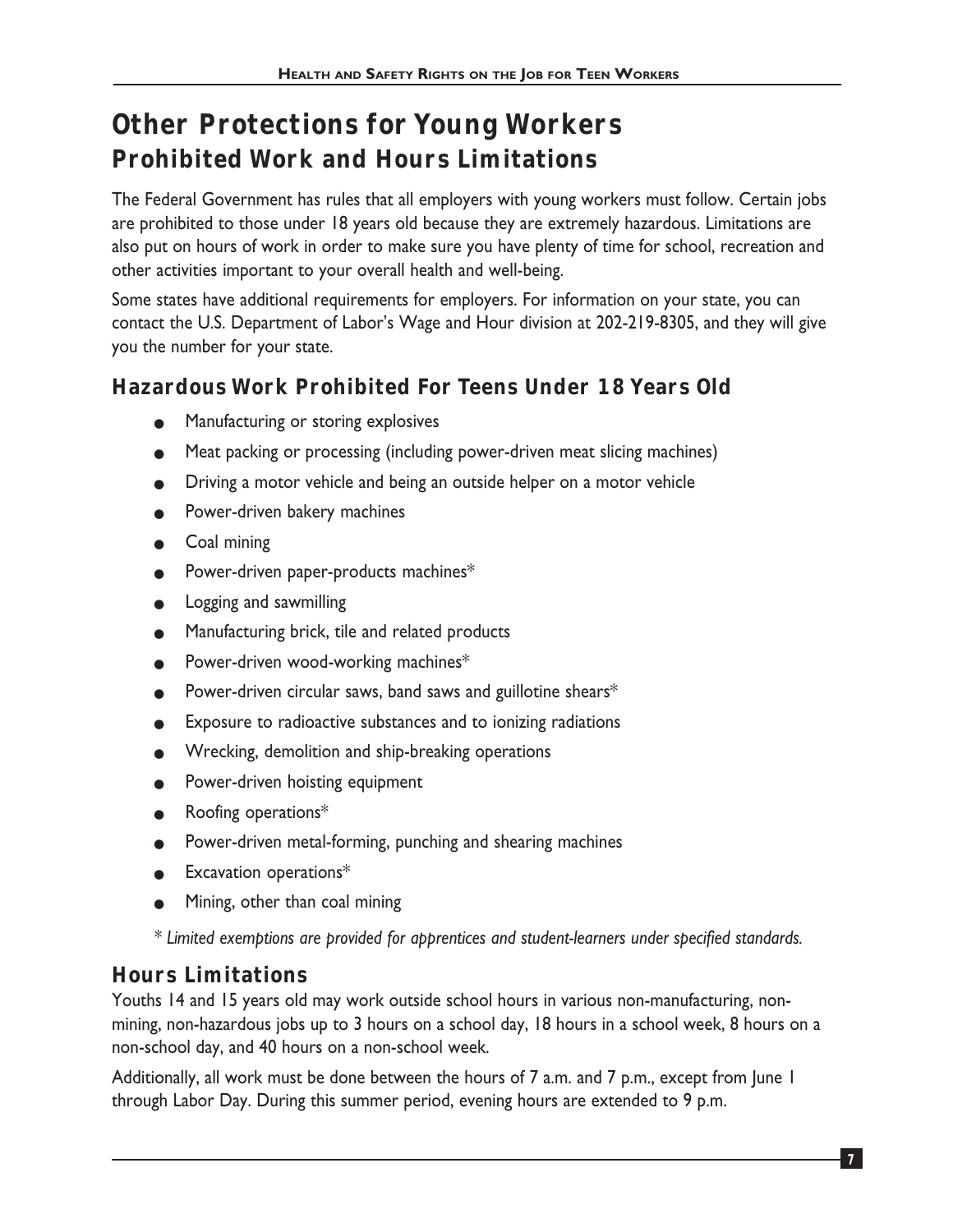# **Other Protections for Young Workers Prohibited Work and Hours Limitations**

The Federal Government has rules that all employers with young workers must follow. Certain jobs are prohibited to those under 18 years old because they are extremely hazardous. Limitations are also put on hours of work in order to make sure you have plenty of time for school, recreation and other activities important to your overall health and well-being.

Some states have additional requirements for employers. For information on your state, you can contact the U.S. Department of Labor's Wage and Hour division at 202-219-8305, and they will give you the number for your state.

## **Hazardous Work Prohibited For Teens Under 18 Years Old**

- Manufacturing or storing explosives
- Meat packing or processing (including power-driven meat slicing machines)
- Driving a motor vehicle and being an outside helper on a motor vehicle
- Power-driven bakery machines
- Coal mining
- Power-driven paper-products machines\*
- Logging and sawmilling
- Manufacturing brick, tile and related products
- Power-driven wood-working machines\*
- Power-driven circular saws, band saws and guillotine shears $*$
- Exposure to radioactive substances and to ionizing radiations
- Wrecking, demolition and ship-breaking operations
- Power-driven hoisting equipment
- Roofing operations\*
- Power-driven metal-forming, punching and shearing machines
- $\bullet$  Excavation operations\*
- Mining, other than coal mining

*\* Limited exemptions are provided for apprentices and student-learners under specified standards.*

### **Hours Limitations**

Youths 14 and 15 years old may work outside school hours in various non-manufacturing, nonmining, non-hazardous jobs up to 3 hours on a school day, 18 hours in a school week, 8 hours on a non-school day, and 40 hours on a non-school week.

Additionally, all work must be done between the hours of 7 a.m. and 7 p.m., except from June 1 through Labor Day. During this summer period, evening hours are extended to 9 p.m.